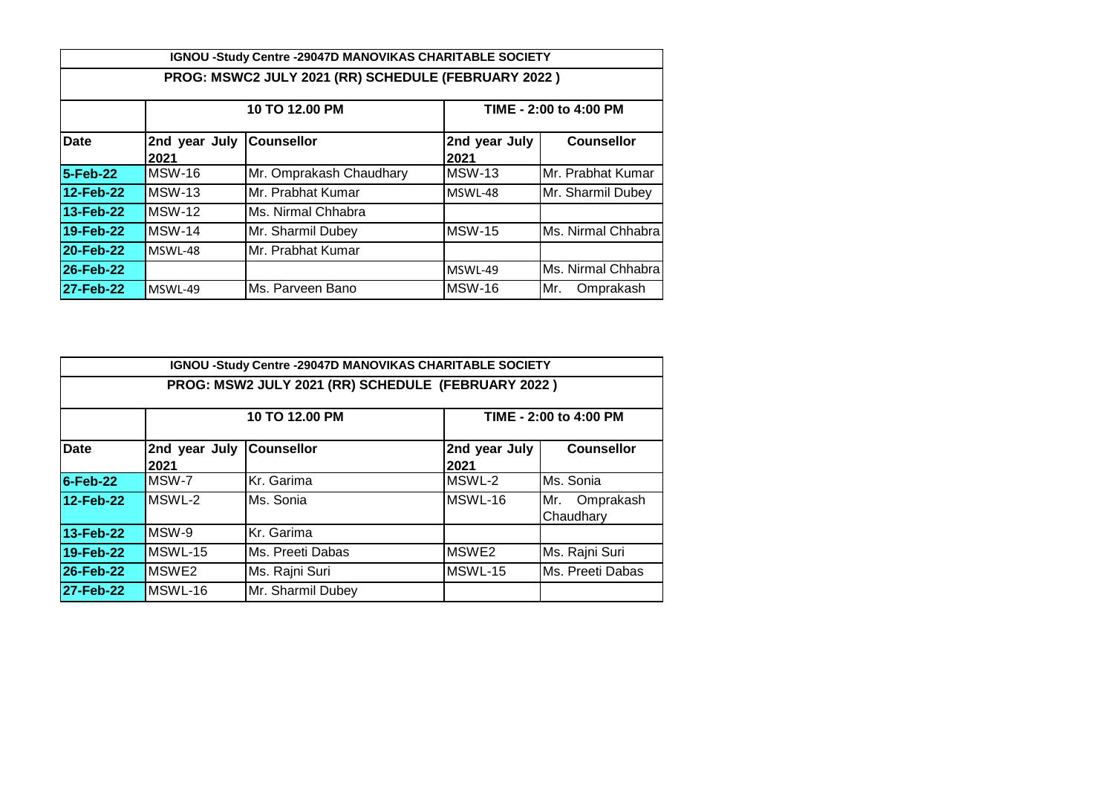|                  | IGNOU -Study Centre -29047D MANOVIKAS CHARITABLE SOCIETY |                                                     |                        |                    |  |  |  |  |  |
|------------------|----------------------------------------------------------|-----------------------------------------------------|------------------------|--------------------|--|--|--|--|--|
|                  |                                                          | PROG: MSWC2 JULY 2021 (RR) SCHEDULE (FEBRUARY 2022) |                        |                    |  |  |  |  |  |
|                  |                                                          | 10 TO 12.00 PM                                      | TIME - 2:00 to 4:00 PM |                    |  |  |  |  |  |
| <b>Date</b>      | 2nd year July<br>2021                                    | <b>Counsellor</b>                                   | 2nd year July<br>2021  | <b>Counsellor</b>  |  |  |  |  |  |
| 5-Feb-22         | MSW-16                                                   | Mr. Omprakash Chaudhary                             | MSW-13                 | Mr. Prabhat Kumar  |  |  |  |  |  |
| 12-Feb-22        | <b>MSW-13</b>                                            | Mr. Prabhat Kumar                                   | MSWL-48                | Mr. Sharmil Dubey  |  |  |  |  |  |
| 13-Feb-22        | MSW-12                                                   | Ms. Nirmal Chhabra                                  |                        |                    |  |  |  |  |  |
| 19-Feb-22        | MSW-14                                                   | Mr. Sharmil Dubey                                   | <b>MSW-15</b>          | Ms. Nirmal Chhabra |  |  |  |  |  |
| 20-Feb-22        | MSWL-48                                                  | Mr. Prabhat Kumar                                   |                        |                    |  |  |  |  |  |
| 26-Feb-22        |                                                          |                                                     | MSWL-49                | Ms. Nirmal Chhabra |  |  |  |  |  |
| <b>27-Feb-22</b> | MSWL-49                                                  | Ms. Parveen Bano                                    | <b>MSW-16</b>          | Mr.<br>Omprakash   |  |  |  |  |  |

|                                          |                                  | IGNOU -Study Centre -29047D MANOVIKAS CHARITABLE SOCIETY<br>PROG: MSW2 JULY 2021 (RR) SCHEDULE (FEBRUARY 2022) |                       |                               |  |
|------------------------------------------|----------------------------------|----------------------------------------------------------------------------------------------------------------|-----------------------|-------------------------------|--|
| 10 TO 12.00 PM<br>TIME - 2:00 to 4:00 PM |                                  |                                                                                                                |                       |                               |  |
| <b>Date</b>                              | 2nd year July Counsellor<br>2021 |                                                                                                                | 2nd year July<br>2021 | <b>Counsellor</b>             |  |
| <b>6-Feb-22</b>                          | MSW-7                            | Kr. Garima                                                                                                     | MSWL-2                | Ms. Sonia                     |  |
| 12-Feb-22                                | MSWL-2                           | Ms. Sonia                                                                                                      | MSWL-16               | Mr.<br>Omprakash<br>Chaudharv |  |
| 13-Feb-22                                | MSW-9                            | Kr. Garima                                                                                                     |                       |                               |  |
| 19-Feb-22                                | MSWL-15                          | Ms. Preeti Dabas                                                                                               | MSWE <sub>2</sub>     | Ms. Rajni Suri                |  |
| 26-Feb-22                                | MSWE2                            | Ms. Rajni Suri                                                                                                 | MSWL-15               | Ms. Preeti Dabas              |  |
| 27-Feb-22                                | MSWL-16                          | Mr. Sharmil Dubey                                                                                              |                       |                               |  |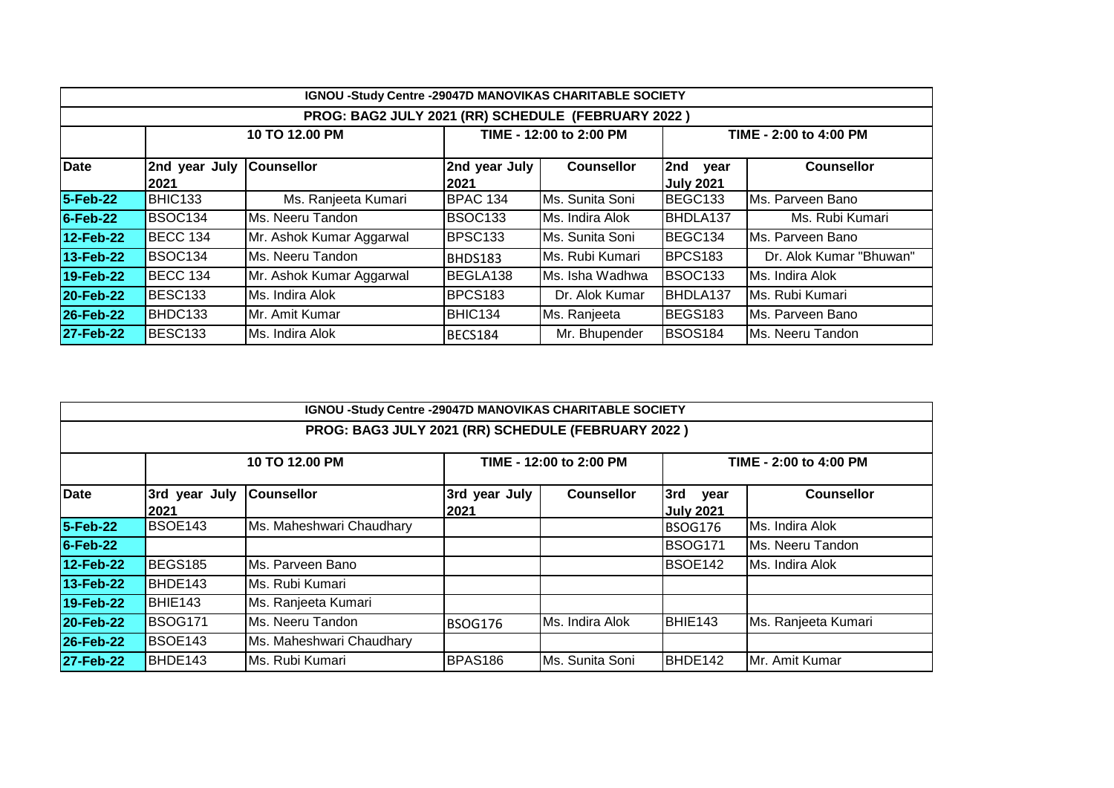| IGNOU -Study Centre -29047D MANOVIKAS CHARITABLE SOCIETY |                       |                          |                       |                         |                                 |                         |  |  |
|----------------------------------------------------------|-----------------------|--------------------------|-----------------------|-------------------------|---------------------------------|-------------------------|--|--|
| PROG: BAG2 JULY 2021 (RR) SCHEDULE (FEBRUARY 2022)       |                       |                          |                       |                         |                                 |                         |  |  |
|                                                          |                       | 10 TO 12.00 PM           |                       | TIME - 12:00 to 2:00 PM |                                 | TIME - 2:00 to 4:00 PM  |  |  |
| Date                                                     | 2nd year July<br>2021 | <b>Counsellor</b>        | 2nd year July<br>2021 | <b>Counsellor</b>       | 2nd<br>year<br><b>July 2021</b> | <b>Counsellor</b>       |  |  |
| 5-Feb-22                                                 | BHIC133               | Ms. Ranjeeta Kumari      | BPAC 134              | Ms. Sunita Soni         | BEGC133                         | Ms. Parveen Bano        |  |  |
| $6$ -Feb-22                                              | BSOC134               | Ms. Neeru Tandon         | BSOC <sub>133</sub>   | Ms. Indira Alok         | BHDLA137                        | Ms. Rubi Kumari         |  |  |
| 12-Feb-22                                                | <b>BECC 134</b>       | Mr. Ashok Kumar Aggarwal | BPSC <sub>133</sub>   | Ms. Sunita Soni         | BEGC134                         | Ms. Parveen Bano        |  |  |
| 13-Feb-22                                                | BSOC134               | Ms. Neeru Tandon         | BHDS183               | IMs. Rubi Kumari        | BPCS183                         | Dr. Alok Kumar "Bhuwan" |  |  |
| 19-Feb-22                                                | <b>BECC 134</b>       | Mr. Ashok Kumar Aggarwal | BEGLA138              | Ms. Isha Wadhwa         | <b>BSOC133</b>                  | Ms. Indira Alok         |  |  |
| 20-Feb-22                                                | BESC <sub>133</sub>   | Ms. Indira Alok          | BPCS <sub>183</sub>   | Dr. Alok Kumar          | BHDLA137                        | IMs. Rubi Kumari        |  |  |
| 26-Feb-22                                                | BHDC133               | IMr. Amit Kumar          | BHIC134               | Ms. Ranjeeta            | BEGS183                         | IMs. Parveen Bano       |  |  |
| 27-Feb-22                                                | BESC133               | Ms. Indira Alok          | BECS184               | Mr. Bhupender           | <b>BSOS184</b>                  | Ms. Neeru Tandon        |  |  |

| IGNOU -Study Centre -29047D MANOVIKAS CHARITABLE SOCIETY |                                                                     |                          |                       |                   |                                 |                     |  |  |  |
|----------------------------------------------------------|---------------------------------------------------------------------|--------------------------|-----------------------|-------------------|---------------------------------|---------------------|--|--|--|
| PROG: BAG3 JULY 2021 (RR) SCHEDULE (FEBRUARY 2022)       |                                                                     |                          |                       |                   |                                 |                     |  |  |  |
|                                                          | 10 TO 12.00 PM<br>TIME - 12:00 to 2:00 PM<br>TIME - 2:00 to 4:00 PM |                          |                       |                   |                                 |                     |  |  |  |
| Date                                                     | 3rd year July<br>2021                                               | <b>Counsellor</b>        | 3rd year July<br>2021 | <b>Counsellor</b> | 3rd<br>year<br><b>July 2021</b> | <b>Counsellor</b>   |  |  |  |
| 5-Feb-22                                                 | BSOE143                                                             | Ms. Maheshwari Chaudhary |                       |                   | <b>BSOG176</b>                  | Ms. Indira Alok     |  |  |  |
| $6$ -Feb-22                                              |                                                                     |                          |                       |                   | <b>BSOG171</b>                  | Ms. Neeru Tandon    |  |  |  |
| 12-Feb-22                                                | <b>BEGS185</b>                                                      | Ms. Parveen Bano         |                       |                   | BSOE142                         | Ms. Indira Alok     |  |  |  |
| 13-Feb-22                                                | BHDE143                                                             | Ms. Rubi Kumari          |                       |                   |                                 |                     |  |  |  |
| 19-Feb-22                                                | BHIE143                                                             | Ms. Ranjeeta Kumari      |                       |                   |                                 |                     |  |  |  |
| 20-Feb-22                                                | <b>BSOG171</b>                                                      | Ms. Neeru Tandon         | <b>BSOG176</b>        | Ms. Indira Alok   | BHIE143                         | Ms. Ranjeeta Kumari |  |  |  |
| 26-Feb-22                                                | <b>BSOE143</b>                                                      | Ms. Maheshwari Chaudhary |                       |                   |                                 |                     |  |  |  |
| 27-Feb-22                                                | BHDE143                                                             | Ms. Rubi Kumari          | <b>BPAS186</b>        | Ms. Sunita Soni   | BHDE142                         | Mr. Amit Kumar      |  |  |  |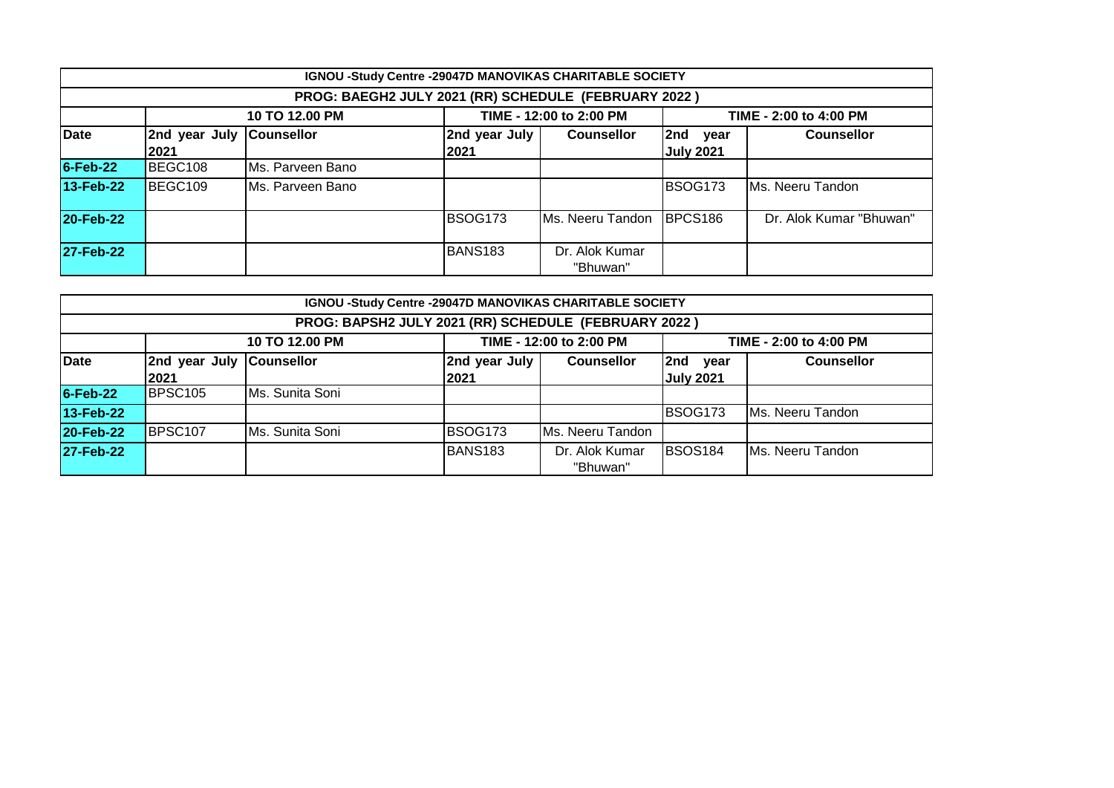|                                                      | IGNOU -Study Centre -29047D MANOVIKAS CHARITABLE SOCIETY            |                   |                       |                            |                                 |                         |  |  |  |  |
|------------------------------------------------------|---------------------------------------------------------------------|-------------------|-----------------------|----------------------------|---------------------------------|-------------------------|--|--|--|--|
| PROG: BAEGH2 JULY 2021 (RR) SCHEDULE (FEBRUARY 2022) |                                                                     |                   |                       |                            |                                 |                         |  |  |  |  |
|                                                      | TIME - 12:00 to 2:00 PM<br>10 TO 12.00 PM<br>TIME - 2:00 to 4:00 PM |                   |                       |                            |                                 |                         |  |  |  |  |
| <b>Date</b>                                          | 2nd year July<br>2021                                               | <b>Counsellor</b> | 2nd year July<br>2021 | <b>Counsellor</b>          | 2nd<br>year<br><b>July 2021</b> | <b>Counsellor</b>       |  |  |  |  |
| $6$ -Feb-22                                          | BEGC108                                                             | Ms. Parveen Bano  |                       |                            |                                 |                         |  |  |  |  |
| 13-Feb-22                                            | BEGC109                                                             | IMs. Parveen Bano |                       |                            | <b>BSOG173</b>                  | Ms. Neeru Tandon        |  |  |  |  |
| 20-Feb-22                                            |                                                                     |                   | <b>BSOG173</b>        | Ms. Neeru Tandon BPCS186   |                                 | Dr. Alok Kumar "Bhuwan" |  |  |  |  |
| 27-Feb-22                                            |                                                                     |                   | <b>BANS183</b>        | Dr. Alok Kumar<br>"Bhuwan" |                                 |                         |  |  |  |  |

|                  | IGNOU -Study Centre -29047D MANOVIKAS CHARITABLE SOCIETY                            |                   |               |                   |                     |                   |  |  |  |
|------------------|-------------------------------------------------------------------------------------|-------------------|---------------|-------------------|---------------------|-------------------|--|--|--|
|                  | PROG: BAPSH2 JULY 2021 (RR) SCHEDULE (FEBRUARY 2022)                                |                   |               |                   |                     |                   |  |  |  |
|                  | TIME - 12:00 to 2:00 PM<br>10 TO 12.00 PM<br>TIME - 2:00 to 4:00 PM                 |                   |               |                   |                     |                   |  |  |  |
| Date             | 2nd year July                                                                       | <b>Counsellor</b> | 2nd year July | <b>Counsellor</b> | l2nd<br>year        | <b>Counsellor</b> |  |  |  |
|                  | 2021                                                                                |                   | 2021          |                   | <b>July 2021</b>    |                   |  |  |  |
| $6$ -Feb-22      | BPSC105                                                                             | Ms. Sunita Soni   |               |                   |                     |                   |  |  |  |
| 13-Feb-22        |                                                                                     |                   |               |                   | BSOG <sub>173</sub> | Ms. Neeru Tandon  |  |  |  |
| 20-Feb-22        | BPSC <sub>107</sub>                                                                 | Ms. Sunita Soni   | BSOG173       | Ms. Neeru Tandon  |                     |                   |  |  |  |
| <b>27-Feb-22</b> | <b>BSOS184</b><br>BANS <sub>183</sub><br>Dr. Alok Kumar<br><b>IMs. Neeru Tandon</b> |                   |               |                   |                     |                   |  |  |  |
|                  |                                                                                     |                   |               | "Bhuwan"          |                     |                   |  |  |  |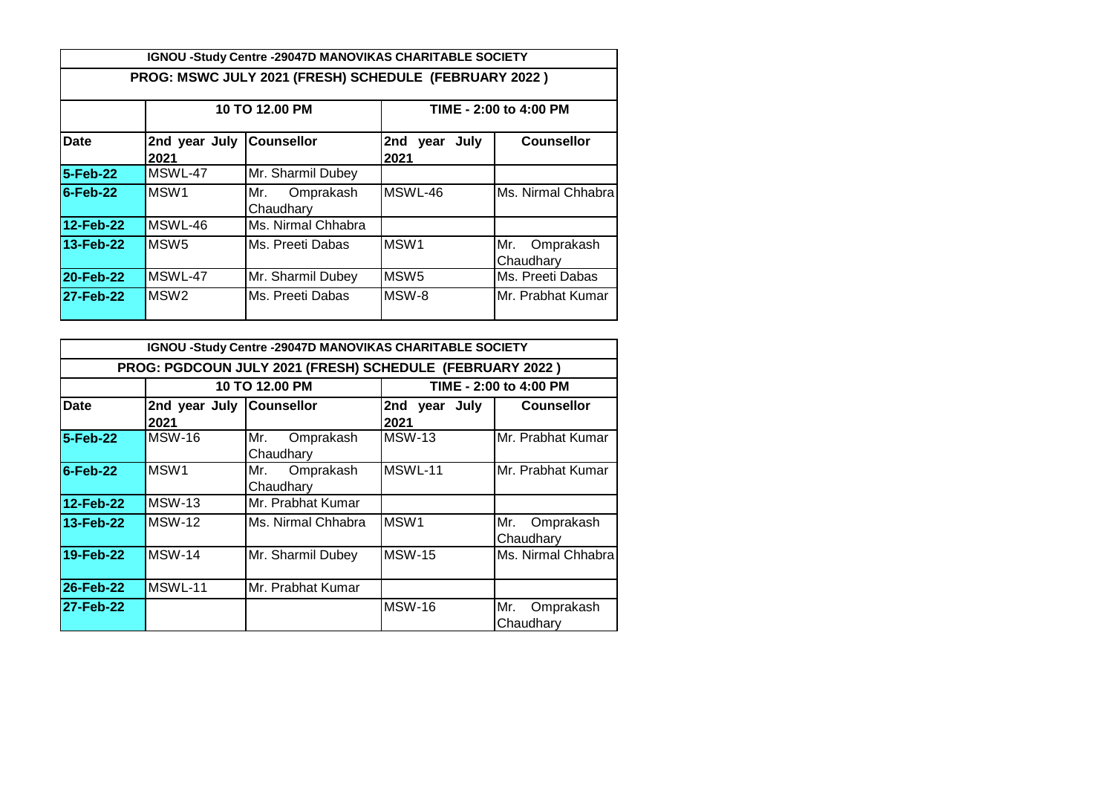|                                                       | IGNOU -Study Centre -29047D MANOVIKAS CHARITABLE SOCIETY |                               |                          |                               |  |  |  |  |  |
|-------------------------------------------------------|----------------------------------------------------------|-------------------------------|--------------------------|-------------------------------|--|--|--|--|--|
| PROG: MSWC JULY 2021 (FRESH) SCHEDULE (FEBRUARY 2022) |                                                          |                               |                          |                               |  |  |  |  |  |
|                                                       | 10 TO 12.00 PM<br>TIME - 2:00 to 4:00 PM                 |                               |                          |                               |  |  |  |  |  |
| Date                                                  | 2nd year July<br>2021                                    | <b>Counsellor</b>             | July<br>2nd year<br>2021 | <b>Counsellor</b>             |  |  |  |  |  |
| 5-Feb-22                                              | MSWL-47                                                  | Mr. Sharmil Dubey             |                          |                               |  |  |  |  |  |
| $6$ -Feb-22                                           | MSW <sub>1</sub>                                         | Omprakash<br>Mr.<br>Chaudhary | MSWL-46                  | Ms. Nirmal Chhabra            |  |  |  |  |  |
| 12-Feb-22                                             | MSWL-46                                                  | Ms. Nirmal Chhabra            |                          |                               |  |  |  |  |  |
| 13-Feb-22                                             | MSW <sub>5</sub>                                         | IMs. Preeti Dabas             | MSW <sub>1</sub>         | Mr.<br>Omprakash<br>Chaudhary |  |  |  |  |  |
| 20-Feb-22                                             | MSWL-47                                                  | Mr. Sharmil Dubey             | MSW <sub>5</sub>         | Ms. Preeti Dabas              |  |  |  |  |  |
| 27-Feb-22                                             | MSW <sub>2</sub>                                         | IMs. Preeti Dabas             | MSW-8                    | Mr. Prabhat Kumar             |  |  |  |  |  |

|             |                                  | <b>IGNOU -Study Centre -29047D MANOVIKAS CHARITABLE SOCIETY</b> |                       |                               |
|-------------|----------------------------------|-----------------------------------------------------------------|-----------------------|-------------------------------|
|             |                                  | PROG: PGDCOUN JULY 2021 (FRESH) SCHEDULE (FEBRUARY 2022)        |                       |                               |
|             |                                  | 10 TO 12.00 PM                                                  |                       | TIME - 2:00 to 4:00 PM        |
| Date        | 2nd year July Counsellor<br>2021 |                                                                 | 2nd year July<br>2021 | <b>Counsellor</b>             |
| 5-Feb-22    | <b>MSW-16</b>                    | Mr.<br>Omprakash<br>Chaudhary                                   | <b>MSW-13</b>         | Mr. Prabhat Kumar             |
| $6$ -Feb-22 | MSW <sub>1</sub>                 | Omprakash<br>Mr.<br>Chaudhary                                   | MSWL-11               | Mr. Prabhat Kumar             |
| 12-Feb-22   | <b>MSW-13</b>                    | Mr. Prabhat Kumar                                               |                       |                               |
| 13-Feb-22   | <b>MSW-12</b>                    | Ms. Nirmal Chhabra                                              | MSW1                  | Mr.<br>Omprakash<br>Chaudhary |
| 19-Feb-22   | <b>MSW-14</b>                    | Mr. Sharmil Dubey                                               | MSW-15                | Ms. Nirmal Chhabra            |
| 26-Feb-22   | MSWL-11                          | Mr. Prabhat Kumar                                               |                       |                               |
| 27-Feb-22   |                                  |                                                                 | <b>MSW-16</b>         | Mr.<br>Omprakash<br>Chaudhary |